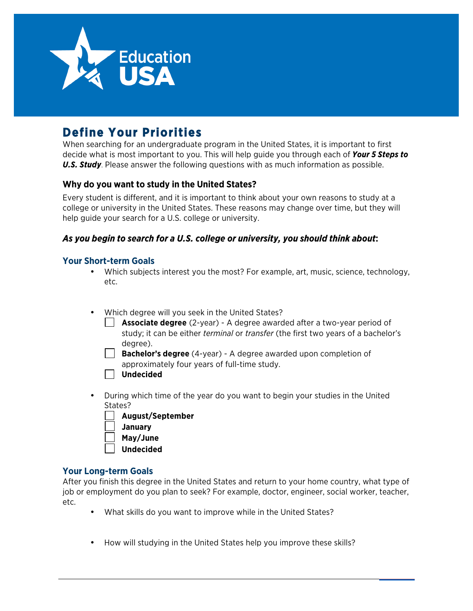

# **Define Your Priorities**

When searching for an undergraduate program in the United States, it is important to first decide what is most important to you. This will help guide you through each of *Your 5 Steps to U.S. Study*. Please answer the following questions with as much information as possible.

## **Why do you want to study in the United States?**

Every student is different, and it is important to think about your own reasons to study at a college or university in the United States. These reasons may change over time, but they will help guide your search for a U.S. college or university.

## *As you begin to search for a U.S. college or university, you should think about***:**

## **Your Short-term Goals**

- Which subjects interest you the most? For example, art, music, science, technology, etc.
- Which degree will you seek in the United States?
	- **Associate degree** (2-year) A degree awarded after a two-year period of study; it can be either *terminal* or *transfer* (the first two years of a bachelor's degree).
	- **Bachelor's degree** (4-year) A degree awarded upon completion of approximately four years of full-time study.
	- **Undecided**
- During which time of the year do you want to begin your studies in the United States?
	- **August/September January May/June**
	- **Undecided**

## **Your Long-term Goals**

After you finish this degree in the United States and return to your home country, what type of job or employment do you plan to seek? For example, doctor, engineer, social worker, teacher, etc.

- What skills do you want to improve while in the United States?
- How will studying in the United States help you improve these skills?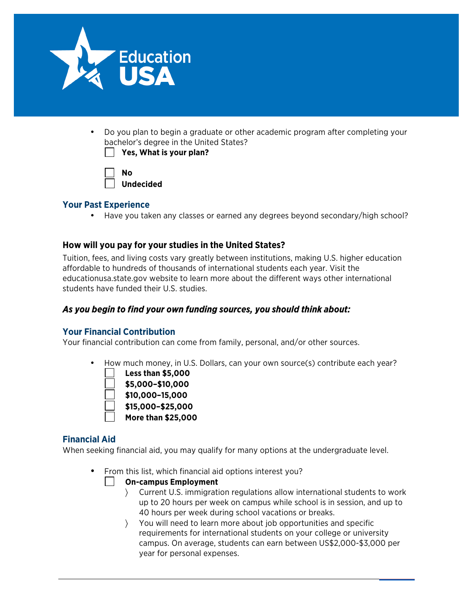

• Do you plan to begin a graduate or other academic program after completing your bachelor's degree in the United States? **Yhat is your plan?** 

| Yes, | N |
|------|---|
|      |   |

| No        |
|-----------|
| Undecided |

## **Your Past Experience**

• Have you taken any classes or earned any degrees beyond secondary/high school?

## **How will you pay for your studies in the United States?**

Tuition, fees, and living costs vary greatly between institutions, making U.S. higher education affordable to hundreds of thousands of international students each year. Visit the educationusa.state.gov website to learn more about the different ways other international students have funded their U.S. studies.

## *As you begin to find your own funding sources, you should think about:*

## **Your Financial Contribution**

Your financial contribution can come from family, personal, and/or other sources.

• How much money, in U.S. Dollars, can your own source(s) contribute each year?



## **Financial Aid**

When seeking financial aid, you may qualify for many options at the undergraduate level.

• From this list, which financial aid options interest you?

## **On-campus Employment**

- 〉 Current U.S. immigration regulations allow international students to work up to 20 hours per week on campus while school is in session, and up to 40 hours per week during school vacations or breaks.
- 〉 You will need to learn more about job opportunities and specific requirements for international students on your college or university campus. On average, students can earn between US\$2,000-\$3,000 per year for personal expenses.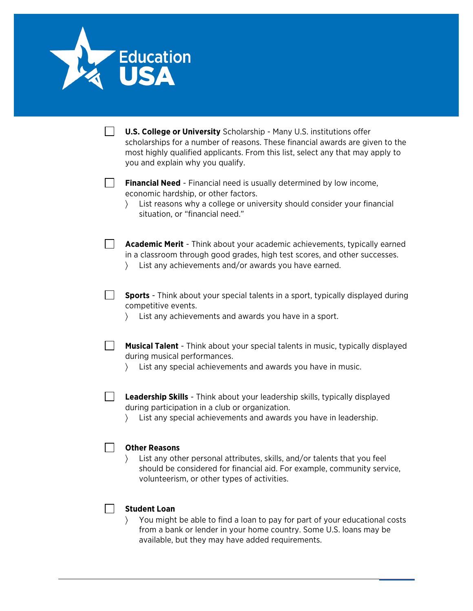

| <b>U.S. College or University</b> Scholarship - Many U.S. institutions offer<br>scholarships for a number of reasons. These financial awards are given to the<br>most highly qualified applicants. From this list, select any that may apply to<br>you and explain why you qualify. |
|-------------------------------------------------------------------------------------------------------------------------------------------------------------------------------------------------------------------------------------------------------------------------------------|
| <b>Financial Need</b> - Financial need is usually determined by low income,<br>economic hardship, or other factors.<br>List reasons why a college or university should consider your financial<br>situation, or "financial need."                                                   |
| Academic Merit - Think about your academic achievements, typically earned<br>in a classroom through good grades, high test scores, and other successes.<br>List any achievements and/or awards you have earned.                                                                     |
| <b>Sports</b> - Think about your special talents in a sport, typically displayed during<br>competitive events.<br>List any achievements and awards you have in a sport.                                                                                                             |
| <b>Musical Talent</b> - Think about your special talents in music, typically displayed<br>during musical performances.<br>List any special achievements and awards you have in music.                                                                                               |
| <b>Leadership Skills</b> - Think about your leadership skills, typically displayed<br>during participation in a club or organization.<br>List any special achievements and awards you have in leadership.                                                                           |
| <b>Other Reasons</b><br>List any other personal attributes, skills, and/or talents that you feel<br>should be considered for financial aid. For example, community service,<br>volunteerism, or other types of activities.                                                          |
| <b>Student Loan</b><br>You might be able to find a loan to pay for part of your educational costs<br>from a bank or lender in your home country. Some U.S. loans may be<br>available, but they may have added requirements.                                                         |

EducationUSA | Your 5 Steps to U.S. Study 3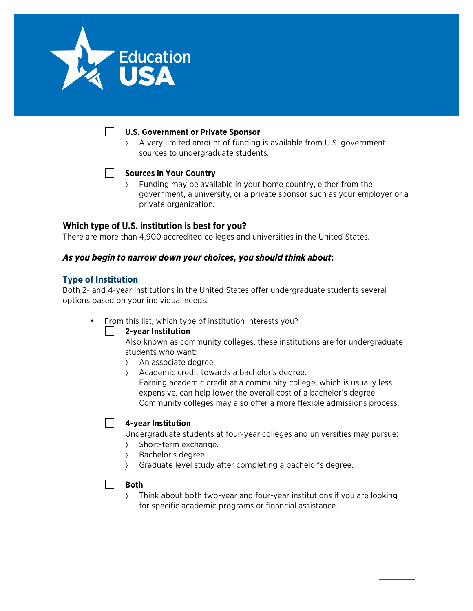

#### **U.S. Government or Private Sponsor**

〉 A very limited amount of funding is available from U.S. government sources to undergraduate students.



#### **Sources in Your Country**

〉 Funding may be available in your home country, either from the government, a university, or a private sponsor such as your employer or a private organization.

## **Which type of U.S. institution is best for you?**

There are more than 4,900 accredited colleges and universities in the United States.

### *As you begin to narrow down your choices, you should think about***:**

#### **Type of Institution**

Both 2- and 4-year institutions in the United States offer undergraduate students several options based on your individual needs.

• From this list, which type of institution interests you?

#### **2-year Institution**

Also known as community colleges, these institutions are for undergraduate students who want:

- 〉 An associate degree.
	- 〉 Academic credit towards a bachelor's degree. Earning academic credit at a community college, which is usually less expensive, can help lower the overall cost of a bachelor's degree. Community colleges may also offer a more flexible admissions process.

#### **4-year Institution**

Undergraduate students at four-year colleges and universities may pursue:

- 〉 Short-term exchange.
- 〉 Bachelor's degree.
- 〉 Graduate level study after completing a bachelor's degree.

#### $\blacksquare$ **Both**

〉 Think about both two-year and four-year institutions if you are looking for specific academic programs or financial assistance.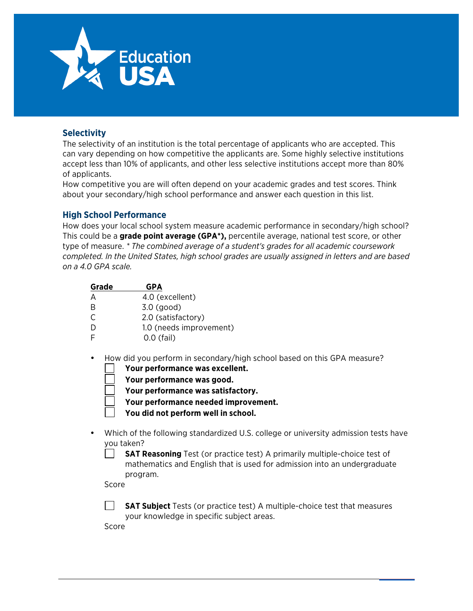

## **Selectivity**

The selectivity of an institution is the total percentage of applicants who are accepted. This can vary depending on how competitive the applicants are. Some highly selective institutions accept less than 10% of applicants, and other less selective institutions accept more than 80% of applicants.

How competitive you are will often depend on your academic grades and test scores. Think about your secondary/high school performance and answer each question in this list.

### **High School Performance**

How does your local school system measure academic performance in secondary/high school? This could be a **grade point average (GPA\*),** percentile average, national test score, or other type of measure. *\* The combined average of a student's grades for all academic coursework completed. In the United States, high school grades are usually assigned in letters and are based on a 4.0 GPA scale.*

| Grade     | <b>GPA</b>              |
|-----------|-------------------------|
| А         | 4.0 (excellent)         |
| B         | $3.0$ (good)            |
| $\subset$ | 2.0 (satisfactory)      |
| D         | 1.0 (needs improvement) |
| F         | $0.0$ (fail)            |

- How did you perform in secondary/high school based on this GPA measure?
	- **Your performance was excellent.**
	- **Your performance was good.**
	- **Your performance was satisfactory.**
	- **Your performance needed improvement.**
	- **You did not perform well in school.**
- Which of the following standardized U.S. college or university admission tests have you taken?
	- **SAT Reasoning** Test (or practice test) A primarily multiple-choice test of mathematics and English that is used for admission into an undergraduate program.

Score

**SAT Subject** Tests (or practice test) A multiple-choice test that measures your knowledge in specific subject areas.

Score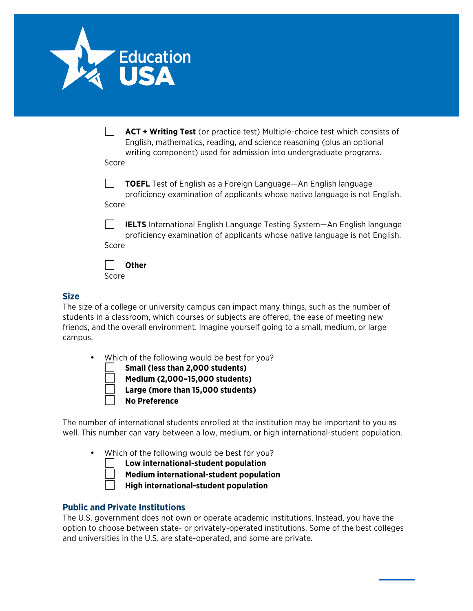

|       | <b>ACT + Writing Test</b> (or practice test) Multiple-choice test which consists of<br>English, mathematics, reading, and science reasoning (plus an optional<br>writing component) used for admission into undergraduate programs. |
|-------|-------------------------------------------------------------------------------------------------------------------------------------------------------------------------------------------------------------------------------------|
| Score |                                                                                                                                                                                                                                     |
| Score | <b>TOEFL</b> Test of English as a Foreign Language—An English language<br>proficiency examination of applicants whose native language is not English.                                                                               |
| Score | <b>IELTS</b> International English Language Testing System—An English language<br>proficiency examination of applicants whose native language is not English.                                                                       |
| Score | Other                                                                                                                                                                                                                               |

#### **Size**

The size of a college or university campus can impact many things, such as the number of students in a classroom, which courses or subjects are offered, the ease of meeting new friends, and the overall environment. Imagine yourself going to a small, medium, or large campus.

Which of the following would be best for you?

**Small (less than 2,000 students) Medium (2,000–15,000 students) Large (more than 15,000 students) No Preference**

The number of international students enrolled at the institution may be important to you as well. This number can vary between a low, medium, or high international-student population.

• Which of the following would be best for you?

**Low international-student population**

**Medium international-student population**

**High international-student population**

## **Public and Private Institutions**

The U.S. government does not own or operate academic institutions. Instead, you have the option to choose between state- or privately-operated institutions. Some of the best colleges and universities in the U.S. are state-operated, and some are private.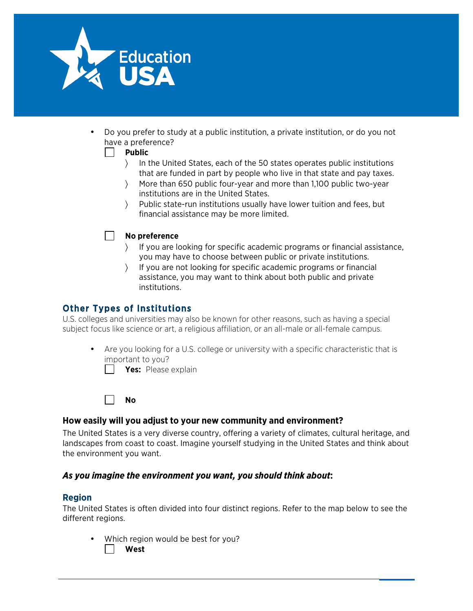

• Do you prefer to study at a public institution, a private institution, or do you not have a preference?

#### **Public**  $\perp$

- 〉 In the United States, each of the 50 states operates public institutions that are funded in part by people who live in that state and pay taxes.
- 〉 More than 650 public four-year and more than 1,100 public two-year institutions are in the United States.
- 〉 Public state-run institutions usually have lower tuition and fees, but financial assistance may be more limited.

## **No preference**

- 〉 If you are looking for specific academic programs or financial assistance, you may have to choose between public or private institutions.
- If you are not looking for specific academic programs or financial assistance, you may want to think about both public and private institutions.

## Other Types of Institutions

U.S. colleges and universities may also be known for other reasons, such as having a special subject focus like science or art, a religious affiliation, or an all-male or all-female campus.

• Are you looking for a U.S. college or university with a specific characteristic that is important to you?

**Yes:** Please explain

**No**

#### **How easily will you adjust to your new community and environment?**

The United States is a very diverse country, offering a variety of climates, cultural heritage, and landscapes from coast to coast. Imagine yourself studying in the United States and think about the environment you want.

#### *As you imagine the environment you want, you should think about***:**

#### **Region**

The United States is often divided into four distinct regions. Refer to the map below to see the different regions.

Which region would be best for you? **West**

EducationUSA | Your 5 Steps to U.S. Study 7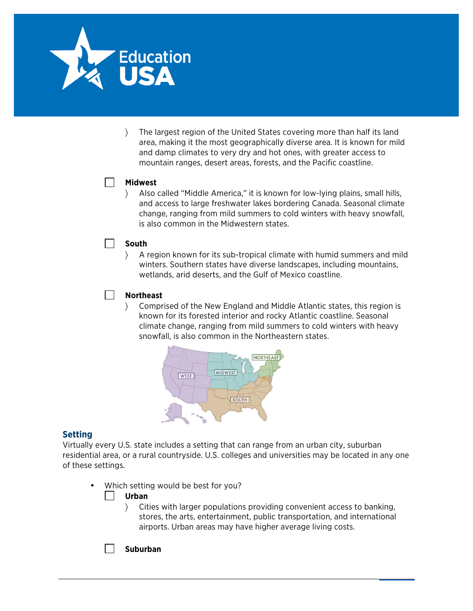

〉 The largest region of the United States covering more than half its land area, making it the most geographically diverse area. It is known for mild and damp climates to very dry and hot ones, with greater access to mountain ranges, desert areas, forests, and the Pacific coastline.

#### **Midwest**

 $\overline{\phantom{a}}$ 

 $\Box$ 

〉 Also called "Middle America," it is known for low-lying plains, small hills, and access to large freshwater lakes bordering Canada. Seasonal climate change, ranging from mild summers to cold winters with heavy snowfall, is also common in the Midwestern states.

#### **South**

〉 A region known for its sub-tropical climate with humid summers and mild winters. Southern states have diverse landscapes, including mountains, wetlands, arid deserts, and the Gulf of Mexico coastline.

#### **Northeast**

〉 Comprised of the New England and Middle Atlantic states, this region is known for its forested interior and rocky Atlantic coastline. Seasonal climate change, ranging from mild summers to cold winters with heavy snowfall, is also common in the Northeastern states.



#### **Setting**

Virtually every U.S. state includes a setting that can range from an urban city, suburban residential area, or a rural countryside. U.S. colleges and universities may be located in any one of these settings.

Which setting would be best for you?

#### **Urban**

〉 Cities with larger populations providing convenient access to banking, stores, the arts, entertainment, public transportation, and international airports. Urban areas may have higher average living costs.

**Suburban**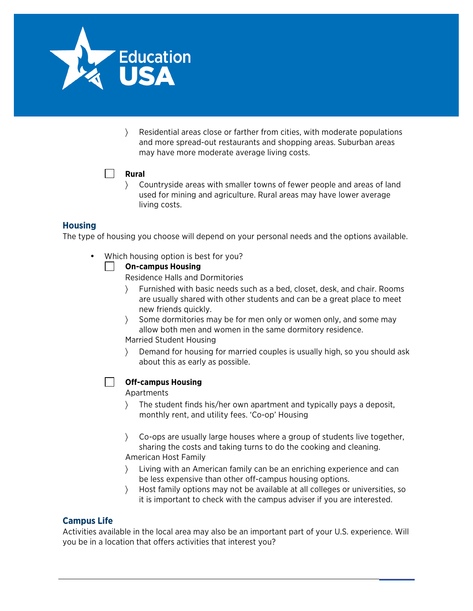

〉 Residential areas close or farther from cities, with moderate populations and more spread-out restaurants and shopping areas. Suburban areas may have more moderate average living costs.

### **Rural**

〉 Countryside areas with smaller towns of fewer people and areas of land used for mining and agriculture. Rural areas may have lower average living costs.

## **Housing**

The type of housing you choose will depend on your personal needs and the options available.

• Which housing option is best for you?

#### **On-campus Housing**

Residence Halls and Dormitories

- 〉 Furnished with basic needs such as a bed, closet, desk, and chair. Rooms are usually shared with other students and can be a great place to meet new friends quickly.
- Some dormitories may be for men only or women only, and some may allow both men and women in the same dormitory residence. Married Student Housing
- 〉 Demand for housing for married couples is usually high, so you should ask about this as early as possible.

#### **Off-campus Housing**

Apartments

- 〉 The student finds his/her own apartment and typically pays a deposit, monthly rent, and utility fees. 'Co-op' Housing
- 〉 Co-ops are usually large houses where a group of students live together, sharing the costs and taking turns to do the cooking and cleaning. American Host Family
- 〉 Living with an American family can be an enriching experience and can be less expensive than other off-campus housing options.
- 〉 Host family options may not be available at all colleges or universities, so it is important to check with the campus adviser if you are interested.

## **Campus Life**

Activities available in the local area may also be an important part of your U.S. experience. Will you be in a location that offers activities that interest you?